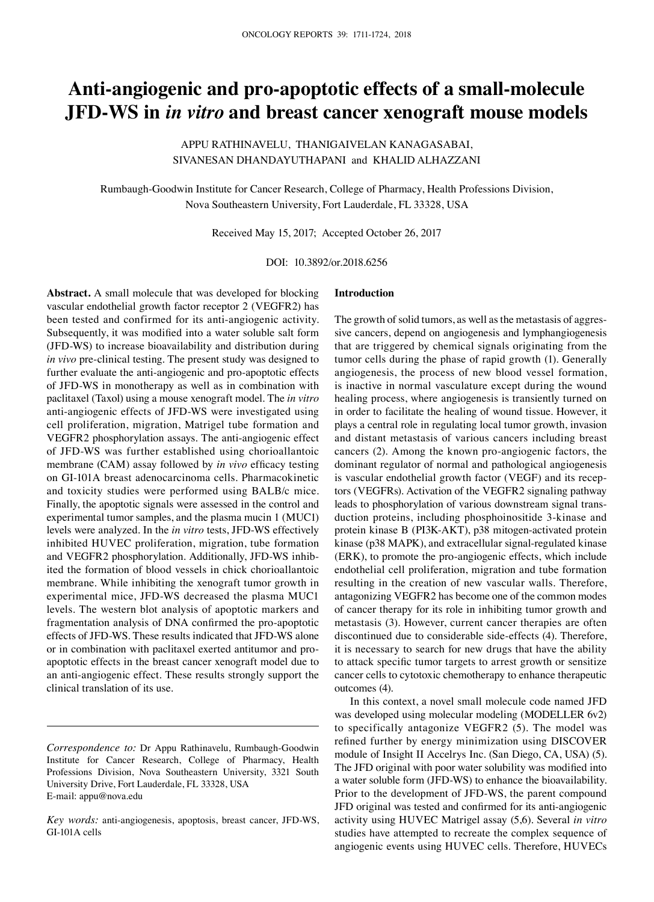# **Anti-angiogenic and pro-apoptotic effects of a small-molecule JFD-WS in** *in vitro* **and breast cancer xenograft mouse models**

Appu Rathinavelu, Thanigaivelan Kanagasabai, Sivanesan Dhandayuthapani and Khalid Alhazzani

Rumbaugh-Goodwin Institute for Cancer Research, College of Pharmacy, Health Professions Division, Nova Southeastern University, Fort Lauderdale, FL 33328, USA

Received May 15, 2017; Accepted October 26, 2017

DOI: 10.3892/or.2018.6256

**Abstract.** A small molecule that was developed for blocking vascular endothelial growth factor receptor 2 (VEGFR2) has been tested and confirmed for its anti-angiogenic activity. Subsequently, it was modified into a water soluble salt form (JFD-WS) to increase bioavailability and distribution during *in vivo* pre-clinical testing. The present study was designed to further evaluate the anti-angiogenic and pro-apoptotic effects of JFD-WS in monotherapy as well as in combination with paclitaxel (Taxol) using a mouse xenograft model. The *in vitro* anti-angiogenic effects of JFD-WS were investigated using cell proliferation, migration, Matrigel tube formation and VEGFR2 phosphorylation assays. The anti-angiogenic effect of JFD-WS was further established using chorioallantoic membrane (CAM) assay followed by *in vivo* efficacy testing on GI-101A breast adenocarcinoma cells. Pharmacokinetic and toxicity studies were performed using BALB/c mice. Finally, the apoptotic signals were assessed in the control and experimental tumor samples, and the plasma mucin 1 (MUC1) levels were analyzed. In the *in vitro* tests, JFD-WS effectively inhibited HUVEC proliferation, migration, tube formation and VEGFR2 phosphorylation. Additionally, JFD-WS inhibited the formation of blood vessels in chick chorioallantoic membrane. While inhibiting the xenograft tumor growth in experimental mice, JFD-WS decreased the plasma MUC1 levels. The western blot analysis of apoptotic markers and fragmentation analysis of DNA confirmed the pro-apoptotic effects of JFD-WS. These results indicated that JFD-WS alone or in combination with paclitaxel exerted antitumor and proapoptotic effects in the breast cancer xenograft model due to an anti-angiogenic effect. These results strongly support the clinical translation of its use.

## **Introduction**

The growth of solid tumors, as well as the metastasis of aggressive cancers, depend on angiogenesis and lymphangiogenesis that are triggered by chemical signals originating from the tumor cells during the phase of rapid growth (1). Generally angiogenesis, the process of new blood vessel formation, is inactive in normal vasculature except during the wound healing process, where angiogenesis is transiently turned on in order to facilitate the healing of wound tissue. However, it plays a central role in regulating local tumor growth, invasion and distant metastasis of various cancers including breast cancers (2). Among the known pro-angiogenic factors, the dominant regulator of normal and pathological angiogenesis is vascular endothelial growth factor (VEGF) and its receptors (VEGFRs). Activation of the VEGFR2 signaling pathway leads to phosphorylation of various downstream signal transduction proteins, including phosphoinositide 3-kinase and protein kinase B (PI3K-AKT), p38 mitogen-activated protein kinase (p38 MAPK), and extracellular signal-regulated kinase (ERK), to promote the pro-angiogenic effects, which include endothelial cell proliferation, migration and tube formation resulting in the creation of new vascular walls. Therefore, antagonizing VEGFR2 has become one of the common modes of cancer therapy for its role in inhibiting tumor growth and metastasis (3). However, current cancer therapies are often discontinued due to considerable side-effects (4). Therefore, it is necessary to search for new drugs that have the ability to attack specific tumor targets to arrest growth or sensitize cancer cells to cytotoxic chemotherapy to enhance therapeutic outcomes (4).

In this context, a novel small molecule code named JFD was developed using molecular modeling (MODELLER 6v2) to specifically antagonize VEGFR2 (5). The model was refined further by energy minimization using DISCOVER module of Insight II Accelrys Inc. (San Diego, CA, USA) (5). The JFD original with poor water solubility was modified into a water soluble form (JFD-WS) to enhance the bioavailability. Prior to the development of JFD-WS, the parent compound JFD original was tested and confirmed for its anti-angiogenic activity using HUVEC Matrigel assay (5,6). Several *in vitro* studies have attempted to recreate the complex sequence of angiogenic events using HUVEC cells. Therefore, HUVECs

*Correspondence to:* Dr Appu Rathinavelu, Rumbaugh-Goodwin Institute for Cancer Research, College of Pharmacy, Health Professions Division, Nova Southeastern University, 3321 South University Drive, Fort Lauderdale, FL 33328, USA E-mail: appu@nova.edu

*Key words:* anti-angiogenesis, apoptosis, breast cancer, JFD-WS, GI-101A cells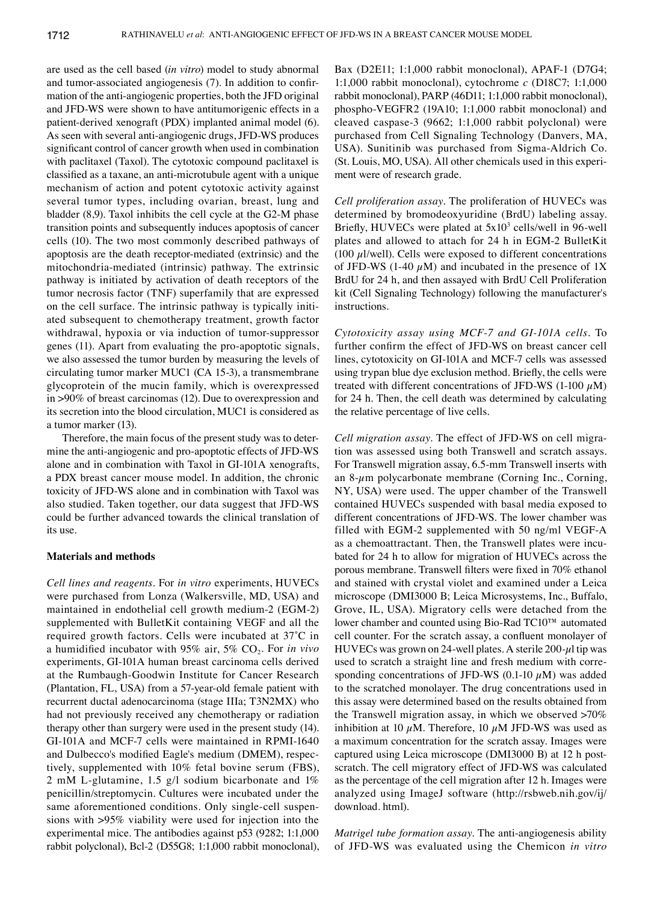are used as the cell based (*in vitro*) model to study abnormal and tumor-associated angiogenesis (7). In addition to confirmation of the anti-angiogenic properties, both the JFD original and JFD-WS were shown to have antitumorigenic effects in a patient-derived xenograft (PDX) implanted animal model (6). As seen with several anti-angiogenic drugs, JFD-WS produces significant control of cancer growth when used in combination with paclitaxel (Taxol). The cytotoxic compound paclitaxel is classified as a taxane, an anti-microtubule agent with a unique mechanism of action and potent cytotoxic activity against several tumor types, including ovarian, breast, lung and bladder (8,9). Taxol inhibits the cell cycle at the G2-M phase transition points and subsequently induces apoptosis of cancer cells (10). The two most commonly described pathways of apoptosis are the death receptor-mediated (extrinsic) and the mitochondria-mediated (intrinsic) pathway. The extrinsic pathway is initiated by activation of death receptors of the tumor necrosis factor (TNF) superfamily that are expressed on the cell surface. The intrinsic pathway is typically initiated subsequent to chemotherapy treatment, growth factor withdrawal, hypoxia or via induction of tumor-suppressor genes (11). Apart from evaluating the pro-apoptotic signals, we also assessed the tumor burden by measuring the levels of circulating tumor marker MUC1 (CA 15-3), a transmembrane glycoprotein of the mucin family, which is overexpressed in >90% of breast carcinomas (12). Due to overexpression and its secretion into the blood circulation, MUC1 is considered as a tumor marker (13).

Therefore, the main focus of the present study was to determine the anti-angiogenic and pro-apoptotic effects of JFD-WS alone and in combination with Taxol in GI-101A xenografts, a PDX breast cancer mouse model. In addition, the chronic toxicity of JFD-WS alone and in combination with Taxol was also studied. Taken together, our data suggest that JFD-WS could be further advanced towards the clinical translation of its use.

### **Materials and methods**

*Cell lines and reagents.* For *in vitro* experiments, HUVECs were purchased from Lonza (Walkersville, MD, USA) and maintained in endothelial cell growth medium-2 (EGM-2) supplemented with BulletKit containing VEGF and all the required growth factors. Cells were incubated at 37̊C in a humidified incubator with 95% air, 5% CO<sub>2</sub>. For *in vivo* experiments, GI-101A human breast carcinoma cells derived at the Rumbaugh-Goodwin Institute for Cancer Research (Plantation, FL, USA) from a 57-year-old female patient with recurrent ductal adenocarcinoma (stage IIIa; T3N2MX) who had not previously received any chemotherapy or radiation therapy other than surgery were used in the present study (14). GI-101A and MCF-7 cells were maintained in RPMI-1640 and Dulbecco's modified Eagle's medium (DMEM), respectively, supplemented with 10% fetal bovine serum (FBS), 2 mM L-glutamine, 1.5 g/l sodium bicarbonate and 1% penicillin/streptomycin. Cultures were incubated under the same aforementioned conditions. Only single-cell suspensions with >95% viability were used for injection into the experimental mice. The antibodies against p53 (9282; 1:1,000 rabbit polyclonal), Bcl-2 (D55G8; 1:1,000 rabbit monoclonal), Bax (D2E11; 1:1,000 rabbit monoclonal), APAF-1 (D7G4; 1:1,000 rabbit monoclonal), cytochrome *c* (D18C7; 1:1,000 rabbit monoclonal), PARP (46D11; 1:1,000 rabbit monoclonal), phospho-VEGFR2 (19A10; 1:1,000 rabbit monoclonal) and cleaved caspase-3 (9662; 1:1,000 rabbit polyclonal) were purchased from Cell Signaling Technology (Danvers, MA, USA). Sunitinib was purchased from Sigma-Aldrich Co. (St. Louis, MO, USA). All other chemicals used in this experiment were of research grade.

*Cell proliferation assay.* The proliferation of HUVECs was determined by bromodeoxyuridine (BrdU) labeling assay. Briefly, HUVECs were plated at  $5x10^3$  cells/well in 96-well plates and allowed to attach for 24 h in EGM-2 BulletKit (100  $\mu$ l/well). Cells were exposed to different concentrations of JFD-WS (1-40  $\mu$ M) and incubated in the presence of 1X BrdU for 24 h, and then assayed with BrdU Cell Proliferation kit (Cell Signaling Technology) following the manufacturer's instructions.

*Cytotoxicity assay using MCF-7 and GI-101A cells.* To further confirm the effect of JFD-WS on breast cancer cell lines, cytotoxicity on GI-101A and MCF-7 cells was assessed using trypan blue dye exclusion method. Briefly, the cells were treated with different concentrations of JFD-WS (1-100  $\mu$ M) for 24 h. Then, the cell death was determined by calculating the relative percentage of live cells.

*Cell migration assay.* The effect of JFD-WS on cell migration was assessed using both Transwell and scratch assays. For Transwell migration assay, 6.5-mm Transwell inserts with an 8- $\mu$ m polycarbonate membrane (Corning Inc., Corning, NY, USA) were used. The upper chamber of the Transwell contained HUVECs suspended with basal media exposed to different concentrations of JFD-WS. The lower chamber was filled with EGM-2 supplemented with 50 ng/ml VEGF-A as a chemoattractant. Then, the Transwell plates were incubated for 24 h to allow for migration of HUVECs across the porous membrane. Transwell filters were fixed in 70% ethanol and stained with crystal violet and examined under a Leica microscope (DMI3000 B; Leica Microsystems, Inc., Buffalo, Grove, IL, USA). Migratory cells were detached from the lower chamber and counted using Bio-Rad TC10™ automated cell counter. For the scratch assay, a confluent monolayer of HUVECs was grown on 24-well plates. A sterile 200- $\mu$ l tip was used to scratch a straight line and fresh medium with corresponding concentrations of JFD-WS (0.1-10  $\mu$ M) was added to the scratched monolayer. The drug concentrations used in this assay were determined based on the results obtained from the Transwell migration assay, in which we observed >70% inhibition at 10  $\mu$ M. Therefore, 10  $\mu$ M JFD-WS was used as a maximum concentration for the scratch assay. Images were captured using Leica microscope (DMI3000 B) at 12 h postscratch. The cell migratory effect of JFD-WS was calculated as the percentage of the cell migration after 12 h. Images were analyzed using ImageJ software (http://rsbweb.nih.gov/ij/ download. html).

*Matrigel tube formation assay.* The anti-angiogenesis ability of JFD-WS was evaluated using the Chemicon *in vitro*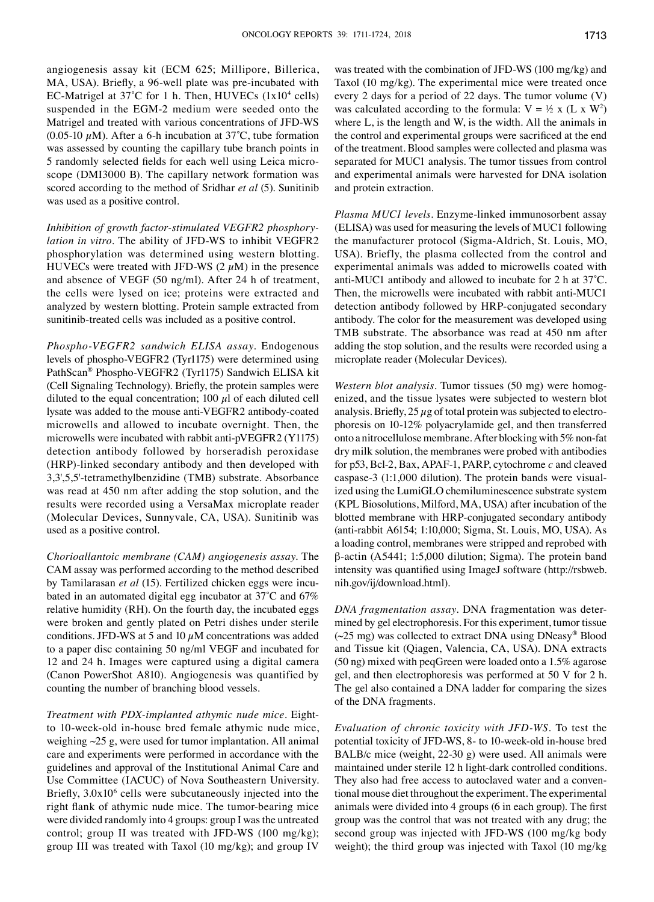angiogenesis assay kit (ECM 625; Millipore, Billerica, MA, USA). Briefly, a 96-well plate was pre-incubated with EC-Matrigel at  $37^{\circ}$ C for 1 h. Then, HUVECs (1x10<sup>4</sup> cells) suspended in the EGM-2 medium were seeded onto the Matrigel and treated with various concentrations of JFD-WS (0.05-10  $\mu$ M). After a 6-h incubation at 37°C, tube formation was assessed by counting the capillary tube branch points in 5 randomly selected fields for each well using Leica microscope (DMI3000 B). The capillary network formation was scored according to the method of Sridhar *et al* (5). Sunitinib was used as a positive control.

*Inhibition of growth factor-stimulated VEGFR2 phosphorylation in vitro.* The ability of JFD-WS to inhibit VEGFR2 phosphorylation was determined using western blotting. HUVECs were treated with JFD-WS  $(2 \mu M)$  in the presence and absence of VEGF (50 ng/ml). After 24 h of treatment, the cells were lysed on ice; proteins were extracted and analyzed by western blotting. Protein sample extracted from sunitinib-treated cells was included as a positive control.

*Phospho-VEGFR2 sandwich ELISA assay.* Endogenous levels of phospho-VEGFR2 (Tyr1175) were determined using PathScan® Phospho-VEGFR2 (Tyr1175) Sandwich ELISA kit (Cell Signaling Technology). Briefly, the protein samples were diluted to the equal concentration; 100  $\mu$ l of each diluted cell lysate was added to the mouse anti-VEGFR2 antibody-coated microwells and allowed to incubate overnight. Then, the microwells were incubated with rabbit anti-pVEGFR2 (Y1175) detection antibody followed by horseradish peroxidase (HRP)-linked secondary antibody and then developed with 3,3',5,5'-tetramethylbenzidine (TMB) substrate. Absorbance was read at 450 nm after adding the stop solution, and the results were recorded using a VersaMax microplate reader (Molecular Devices, Sunnyvale, CA, USA). Sunitinib was used as a positive control.

*Chorioallantoic membrane (CAM) angiogenesis assay.* The CAM assay was performed according to the method described by Tamilarasan *et al* (15). Fertilized chicken eggs were incubated in an automated digital egg incubator at 37̊C and 67% relative humidity (RH). On the fourth day, the incubated eggs were broken and gently plated on Petri dishes under sterile conditions. JFD-WS at 5 and 10  $\mu$ M concentrations was added to a paper disc containing 50 ng/ml VEGF and incubated for 12 and 24 h. Images were captured using a digital camera (Canon PowerShot A810). Angiogenesis was quantified by counting the number of branching blood vessels.

*Treatment with PDX-implanted athymic nude mice.* Eightto 10-week-old in-house bred female athymic nude mice, weighing  $\sim$ 25 g, were used for tumor implantation. All animal care and experiments were performed in accordance with the guidelines and approval of the Institutional Animal Care and Use Committee (IACUC) of Nova Southeastern University. Briefly,  $3.0x10<sup>6</sup>$  cells were subcutaneously injected into the right flank of athymic nude mice. The tumor-bearing mice were divided randomly into 4 groups: group I was the untreated control; group II was treated with JFD-WS (100 mg/kg); group III was treated with Taxol (10 mg/kg); and group IV

was treated with the combination of JFD-WS (100 mg/kg) and Taxol (10 mg/kg). The experimental mice were treated once every 2 days for a period of 22 days. The tumor volume (V) was calculated according to the formula:  $V = \frac{1}{2} x (L x W^2)$ where L, is the length and W, is the width. All the animals in the control and experimental groups were sacrificed at the end of the treatment. Blood samples were collected and plasma was separated for MUC1 analysis. The tumor tissues from control and experimental animals were harvested for DNA isolation and protein extraction.

*Plasma MUC1 levels.* Enzyme-linked immunosorbent assay (ELISA) was used for measuring the levels of MUC1 following the manufacturer protocol (Sigma-Aldrich, St. Louis, MO, USA). Briefly, the plasma collected from the control and experimental animals was added to microwells coated with anti-MUC1 antibody and allowed to incubate for 2 h at 37̊C. Then, the microwells were incubated with rabbit anti-MUC1 detection antibody followed by HRP-conjugated secondary antibody. The color for the measurement was developed using TMB substrate. The absorbance was read at 450 nm after adding the stop solution, and the results were recorded using a microplate reader (Molecular Devices).

*Western blot analysis.* Tumor tissues (50 mg) were homogenized, and the tissue lysates were subjected to western blot analysis. Briefly,  $25 \mu$ g of total protein was subjected to electrophoresis on 10-12% polyacrylamide gel, and then transferred onto a nitrocellulose membrane. After blocking with 5% non-fat dry milk solution, the membranes were probed with antibodies for p53, Bcl-2, Bax, APAF-1, PARP, cytochrome *c* and cleaved caspase-3 (1:1,000 dilution). The protein bands were visualized using the LumiGLO chemiluminescence substrate system (KPL Biosolutions, Milford, MA, USA) after incubation of the blotted membrane with HRP-conjugated secondary antibody (anti-rabbit A6154; 1:10,000; Sigma, St. Louis, MO, USA). As a loading control, membranes were stripped and reprobed with β-actin (A5441; 1:5,000 dilution; Sigma). The protein band intensity was quantified using ImageJ software (http://rsbweb. nih.gov/ij/download.html).

*DNA fragmentation assay.* DNA fragmentation was determined by gel electrophoresis. For this experiment, tumor tissue  $(\sim 25 \text{ mg})$  was collected to extract DNA using DNeasy® Blood and Tissue kit (Qiagen, Valencia, CA, USA). DNA extracts (50 ng) mixed with peqGreen were loaded onto a 1.5% agarose gel, and then electrophoresis was performed at 50 V for 2 h. The gel also contained a DNA ladder for comparing the sizes of the DNA fragments.

*Evaluation of chronic toxicity with JFD-WS.* To test the potential toxicity of JFD-WS, 8- to 10-week-old in-house bred BALB/c mice (weight, 22-30 g) were used. All animals were maintained under sterile 12 h light-dark controlled conditions. They also had free access to autoclaved water and a conventional mouse diet throughout the experiment. The experimental animals were divided into 4 groups (6 in each group). The first group was the control that was not treated with any drug; the second group was injected with JFD-WS (100 mg/kg body weight); the third group was injected with Taxol (10 mg/kg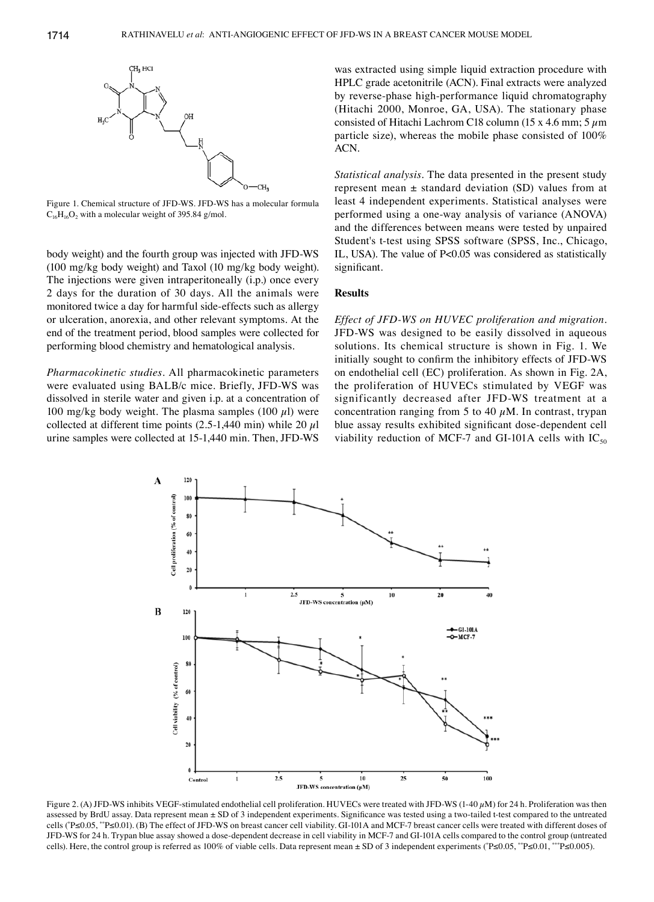

Figure 1. Chemical structure of JFD-WS. JFD-WS has a molecular formula  $C_{16}H_{16}O_2$  with a molecular weight of 395.84 g/mol.

body weight) and the fourth group was injected with JFD-WS (100 mg/kg body weight) and Taxol (10 mg/kg body weight). The injections were given intraperitoneally (i.p.) once every 2 days for the duration of 30 days. All the animals were monitored twice a day for harmful side-effects such as allergy or ulceration, anorexia, and other relevant symptoms. At the end of the treatment period, blood samples were collected for performing blood chemistry and hematological analysis.

*Pharmacokinetic studies.* All pharmacokinetic parameters were evaluated using BALB/c mice. Briefly, JFD-WS was dissolved in sterile water and given i.p. at a concentration of 100 mg/kg body weight. The plasma samples (100  $\mu$ l) were collected at different time points  $(2.5-1,440 \text{ min})$  while 20  $\mu$ l urine samples were collected at 15-1,440 min. Then, JFD-WS was extracted using simple liquid extraction procedure with HPLC grade acetonitrile (ACN). Final extracts were analyzed by reverse-phase high-performance liquid chromatography (Hitachi 2000, Monroe, GA, USA). The stationary phase consisted of Hitachi Lachrom C18 column (15 x 4.6 mm; 5  $\mu$ m particle size), whereas the mobile phase consisted of 100% ACN.

*Statistical analysis.* The data presented in the present study represent mean  $\pm$  standard deviation (SD) values from at least 4 independent experiments. Statistical analyses were performed using a one-way analysis of variance (ANOVA) and the differences between means were tested by unpaired Student's t-test using SPSS software (SPSS, Inc., Chicago, IL, USA). The value of P<0.05 was considered as statistically significant.

#### **Results**

*Effect of JFD-WS on HUVEC proliferation and migration.*  JFD-WS was designed to be easily dissolved in aqueous solutions. Its chemical structure is shown in Fig. 1. We initially sought to confirm the inhibitory effects of JFD-WS on endothelial cell (EC) proliferation. As shown in Fig. 2A, the proliferation of HUVECs stimulated by VEGF was significantly decreased after JFD-WS treatment at a concentration ranging from 5 to 40  $\mu$ M. In contrast, trypan blue assay results exhibited significant dose-dependent cell viability reduction of MCF-7 and GI-101A cells with  $IC_{50}$ 



Figure 2. (A) JFD-WS inhibits VEGF-stimulated endothelial cell proliferation. HUVECs were treated with JFD-WS (1-40  $\mu$ M) for 24 h. Proliferation was then assessed by BrdU assay. Data represent mean ± SD of 3 independent experiments. Significance was tested using a two-tailed t-test compared to the untreated cells (\* P≤0.05, \*\*P≤0.01). (B) The effect of JFD-WS on breast cancer cell viability. GI-101A and MCF-7 breast cancer cells were treated with different doses of JFD-WS for 24 h. Trypan blue assay showed a dose-dependent decrease in cell viability in MCF-7 and GI-101A cells compared to the control group (untreated cells). Here, the control group is referred as 100% of viable cells. Data represent mean ± SD of 3 independent experiments (\*P≤0.05, \*\*P≤0.01, \*\*\*P≤0.005).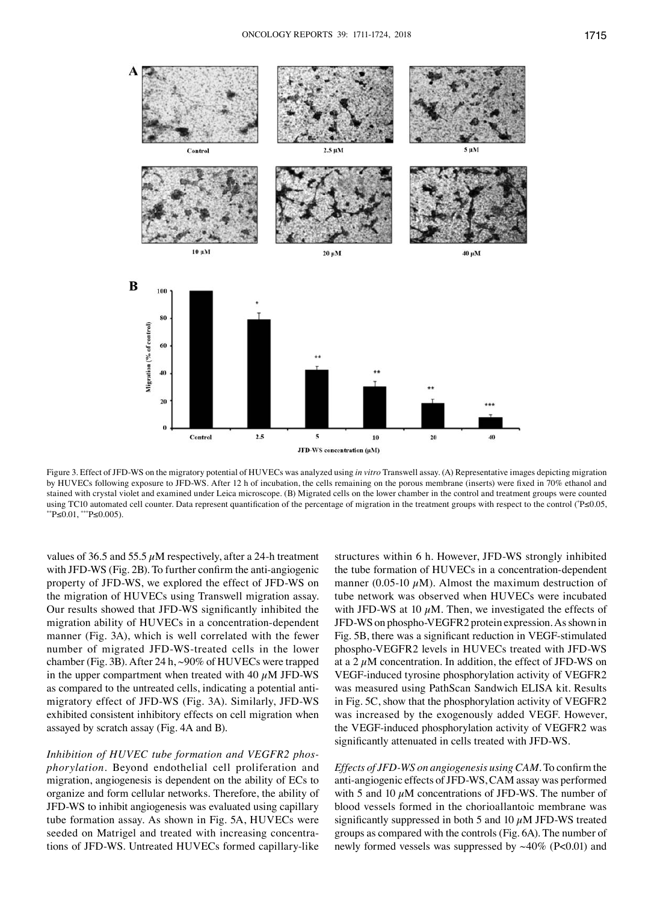

Figure 3. Effect of JFD-WS on the migratory potential of HUVECs was analyzed using *in vitro* Transwell assay. (A) Representative images depicting migration by HUVECs following exposure to JFD-WS. After 12 h of incubation, the cells remaining on the porous membrane (inserts) were fixed in 70% ethanol and stained with crystal violet and examined under Leica microscope. (B) Migrated cells on the lower chamber in the control and treatment groups were counted using TC10 automated cell counter. Data represent quantification of the percentage of migration in the treatment groups with respect to the control (<sup>\*</sup>P≤0.05,  $*$ \*P≤0.01,  $**$ P≤0.005).

values of 36.5 and 55.5  $\mu$ M respectively, after a 24-h treatment with JFD-WS (Fig. 2B). To further confirm the anti-angiogenic property of JFD-WS, we explored the effect of JFD-WS on the migration of HUVECs using Transwell migration assay. Our results showed that JFD-WS significantly inhibited the migration ability of HUVECs in a concentration-dependent manner (Fig. 3A), which is well correlated with the fewer number of migrated JFD-WS-treated cells in the lower chamber (Fig. 3B). After 24 h, ~90% of HUVECs were trapped in the upper compartment when treated with 40  $\mu$ M JFD-WS as compared to the untreated cells, indicating a potential antimigratory effect of JFD-WS (Fig. 3A). Similarly, JFD-WS exhibited consistent inhibitory effects on cell migration when assayed by scratch assay (Fig. 4A and B).

*Inhibition of HUVEC tube formation and VEGFR2 phosphorylation.* Beyond endothelial cell proliferation and migration, angiogenesis is dependent on the ability of ECs to organize and form cellular networks. Therefore, the ability of JFD-WS to inhibit angiogenesis was evaluated using capillary tube formation assay. As shown in Fig. 5A, HUVECs were seeded on Matrigel and treated with increasing concentrations of JFD-WS. Untreated HUVECs formed capillary-like structures within 6 h. However, JFD-WS strongly inhibited the tube formation of HUVECs in a concentration-dependent manner (0.05-10  $\mu$ M). Almost the maximum destruction of tube network was observed when HUVECs were incubated with JFD-WS at 10  $\mu$ M. Then, we investigated the effects of JFD-WS on phospho-VEGFR2 protein expression. As shown in Fig. 5B, there was a significant reduction in VEGF-stimulated phospho-VEGFR2 levels in HUVECs treated with JFD-WS at a 2  $\mu$ M concentration. In addition, the effect of JFD-WS on VEGF-induced tyrosine phosphorylation activity of VEGFR2 was measured using PathScan Sandwich ELISA kit. Results in Fig. 5C, show that the phosphorylation activity of VEGFR2 was increased by the exogenously added VEGF. However, the VEGF-induced phosphorylation activity of VEGFR2 was significantly attenuated in cells treated with JFD-WS.

*Effects of JFD-WS on angiogenesis using CAM.* To confirm the anti-angiogenic effects of JFD-WS, CAM assay was performed with 5 and 10  $\mu$ M concentrations of JFD-WS. The number of blood vessels formed in the chorioallantoic membrane was significantly suppressed in both 5 and 10  $\mu$ M JFD-WS treated groups as compared with the controls (Fig. 6A). The number of newly formed vessels was suppressed by  $~40\%$  (P<0.01) and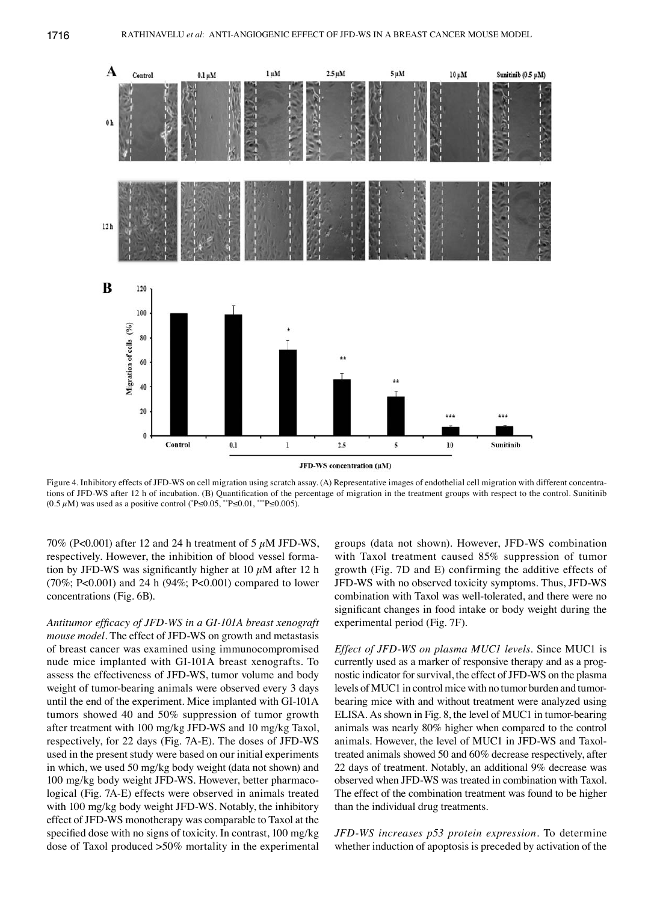

Figure 4. Inhibitory effects of JFD-WS on cell migration using scratch assay. (A) Representative images of endothelial cell migration with different concentrations of JFD-WS after 12 h of incubation. (B) Quantification of the percentage of migration in the treatment groups with respect to the control. Sunitinib (0.5  $\mu$ M) was used as a positive control (\*P≤0.05, \*\*P≤0.01, \*\*\*P≤0.005).

70% (P<0.001) after 12 and 24 h treatment of 5  $\mu$ M JFD-WS, respectively. However, the inhibition of blood vessel formation by JFD-WS was significantly higher at 10  $\mu$ M after 12 h (70%; P<0.001) and 24 h (94%; P<0.001) compared to lower concentrations (Fig. 6B).

*Antitumor efficacy of JFD-WS in a GI-101A breast xenograft mouse model.* The effect of JFD-WS on growth and metastasis of breast cancer was examined using immunocompromised nude mice implanted with GI-101A breast xenografts. To assess the effectiveness of JFD-WS, tumor volume and body weight of tumor-bearing animals were observed every 3 days until the end of the experiment. Mice implanted with GI-101A tumors showed 40 and 50% suppression of tumor growth after treatment with 100 mg/kg JFD-WS and 10 mg/kg Taxol, respectively, for 22 days (Fig. 7A-E). The doses of JFD-WS used in the present study were based on our initial experiments in which, we used 50 mg/kg body weight (data not shown) and 100 mg/kg body weight JFD-WS. However, better pharmacological (Fig. 7A-E) effects were observed in animals treated with 100 mg/kg body weight JFD-WS. Notably, the inhibitory effect of JFD-WS monotherapy was comparable to Taxol at the specified dose with no signs of toxicity. In contrast, 100 mg/kg dose of Taxol produced >50% mortality in the experimental groups (data not shown). However, JFD-WS combination with Taxol treatment caused 85% suppression of tumor growth (Fig. 7D and E) confirming the additive effects of JFD-WS with no observed toxicity symptoms. Thus, JFD-WS combination with Taxol was well-tolerated, and there were no significant changes in food intake or body weight during the experimental period (Fig. 7F).

*Effect of JFD-WS on plasma MUC1 levels.* Since MUC1 is currently used as a marker of responsive therapy and as a prognostic indicator for survival, the effect of JFD-WS on the plasma levels of MUC1 in control mice with no tumor burden and tumorbearing mice with and without treatment were analyzed using ELISA. As shown in Fig. 8, the level of MUC1 in tumor-bearing animals was nearly 80% higher when compared to the control animals. However, the level of MUC1 in JFD-WS and Taxoltreated animals showed 50 and 60% decrease respectively, after 22 days of treatment. Notably, an additional 9% decrease was observed when JFD-WS was treated in combination with Taxol. The effect of the combination treatment was found to be higher than the individual drug treatments.

*JFD-WS increases p53 protein expression.* To determine whether induction of apoptosis is preceded by activation of the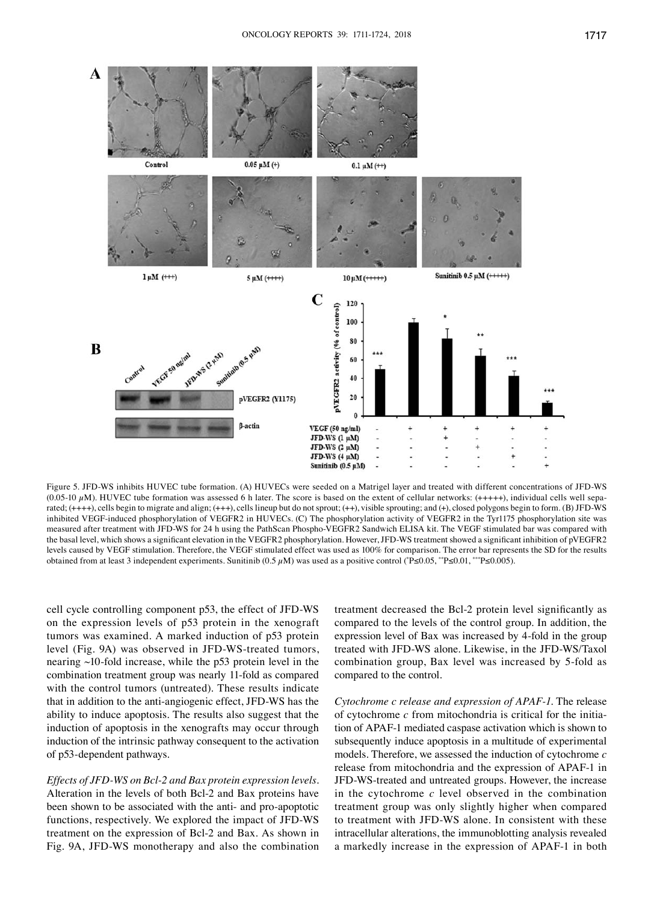

Figure 5. JFD-WS inhibits HUVEC tube formation. (A) HUVECs were seeded on a Matrigel layer and treated with different concentrations of JFD-WS (0.05-10  $\mu$ M). HUVEC tube formation was assessed 6 h later. The score is based on the extent of cellular networks: (+++++), individual cells well separated;  $(+++)$ , cells begin to migrate and align;  $(++)$ , cells lineup but do not sprout;  $(+)$ , visible sprouting; and  $(+)$ , closed polygons begin to form. (B) JFD-WS inhibited VEGF-induced phosphorylation of VEGFR2 in HUVECs. (C) The phosphorylation activity of VEGFR2 in the Tyr1175 phosphorylation site was measured after treatment with JFD-WS for 24 h using the PathScan Phospho-VEGFR2 Sandwich ELISA kit. The VEGF stimulated bar was compared with the basal level, which shows a significant elevation in the VEGFR2 phosphorylation. However, JFD-WS treatment showed a significant inhibition of pVEGFR2 levels caused by VEGF stimulation. Therefore, the VEGF stimulated effect was used as 100% for comparison. The error bar represents the SD for the results obtained from at least 3 independent experiments. Sunitinib (0.5 µM) was used as a positive control (\* P≤0.05, \*\*P≤0.01, \*\*\*P≤0.005).

cell cycle controlling component p53, the effect of JFD-WS on the expression levels of p53 protein in the xenograft tumors was examined. A marked induction of p53 protein level (Fig. 9A) was observed in JFD-WS-treated tumors, nearing ~10-fold increase, while the p53 protein level in the combination treatment group was nearly 11-fold as compared with the control tumors (untreated). These results indicate that in addition to the anti-angiogenic effect, JFD-WS has the ability to induce apoptosis. The results also suggest that the induction of apoptosis in the xenografts may occur through induction of the intrinsic pathway consequent to the activation of p53-dependent pathways.

*Effects of JFD-WS on Bcl-2 and Bax protein expression levels.*  Alteration in the levels of both Bcl-2 and Bax proteins have been shown to be associated with the anti- and pro-apoptotic functions, respectively. We explored the impact of JFD-WS treatment on the expression of Bcl-2 and Bax. As shown in Fig. 9A, JFD-WS monotherapy and also the combination

treatment decreased the Bcl-2 protein level significantly as compared to the levels of the control group. In addition, the expression level of Bax was increased by 4-fold in the group treated with JFD-WS alone. Likewise, in the JFD-WS/Taxol combination group, Bax level was increased by 5-fold as compared to the control.

*Cytochrome c release and expression of APAF-1.* The release of cytochrome *c* from mitochondria is critical for the initiation of APAF-1 mediated caspase activation which is shown to subsequently induce apoptosis in a multitude of experimental models. Therefore, we assessed the induction of cytochrome *c* release from mitochondria and the expression of APAF-1 in JFD-WS-treated and untreated groups. However, the increase in the cytochrome *c* level observed in the combination treatment group was only slightly higher when compared to treatment with JFD-WS alone. In consistent with these intracellular alterations, the immunoblotting analysis revealed a markedly increase in the expression of APAF-1 in both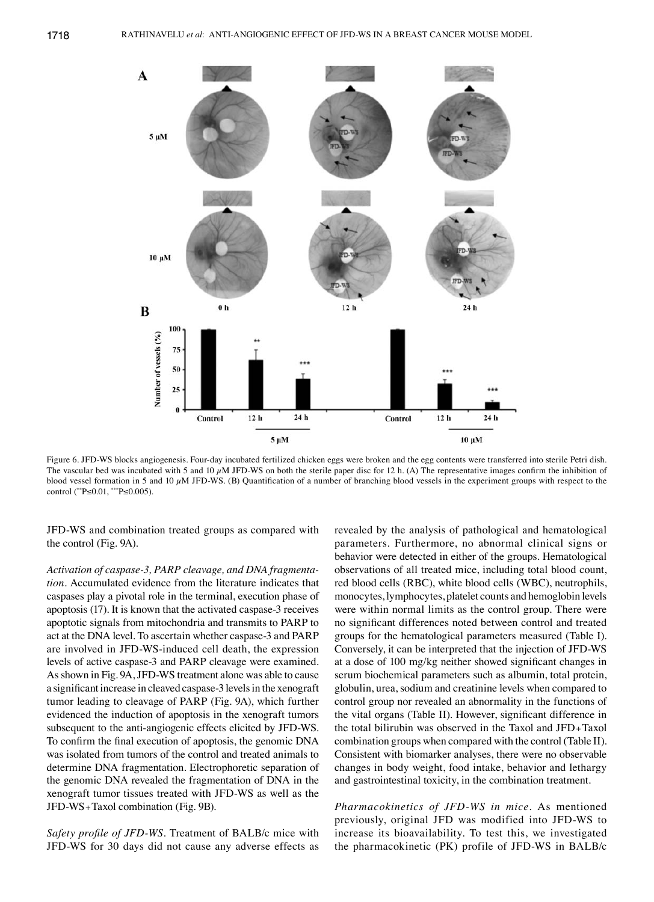

Figure 6. JFD-WS blocks angiogenesis. Four-day incubated fertilized chicken eggs were broken and the egg contents were transferred into sterile Petri dish. The vascular bed was incubated with 5 and 10  $\mu$ M JFD-WS on both the sterile paper disc for 12 h. (A) The representative images confirm the inhibition of blood vessel formation in 5 and 10  $\mu$ M JFD-WS. (B) Quantification of a number of branching blood vessels in the experiment groups with respect to the control ( \*\*P≤0.01, \*\*\*P≤0.005).

JFD-WS and combination treated groups as compared with the control (Fig. 9A).

*Activation of caspase-3, PARP cleavage, and DNA fragmentation.* Accumulated evidence from the literature indicates that caspases play a pivotal role in the terminal, execution phase of apoptosis (17). It is known that the activated caspase-3 receives apoptotic signals from mitochondria and transmits to PARP to act at the DNA level. To ascertain whether caspase-3 and PARP are involved in JFD-WS-induced cell death, the expression levels of active caspase-3 and PARP cleavage were examined. As shown in Fig. 9A, JFD-WS treatment alone was able to cause a significant increase in cleaved caspase-3 levels in the xenograft tumor leading to cleavage of PARP (Fig. 9A), which further evidenced the induction of apoptosis in the xenograft tumors subsequent to the anti-angiogenic effects elicited by JFD-WS. To confirm the final execution of apoptosis, the genomic DNA was isolated from tumors of the control and treated animals to determine DNA fragmentation. Electrophoretic separation of the genomic DNA revealed the fragmentation of DNA in the xenograft tumor tissues treated with JFD-WS as well as the JFD-WS+Taxol combination (Fig. 9B).

*Safety profile of JFD-WS.* Treatment of BALB/c mice with JFD-WS for 30 days did not cause any adverse effects as revealed by the analysis of pathological and hematological parameters. Furthermore, no abnormal clinical signs or behavior were detected in either of the groups. Hematological observations of all treated mice, including total blood count, red blood cells (RBC), white blood cells (WBC), neutrophils, monocytes, lymphocytes, platelet counts and hemoglobin levels were within normal limits as the control group. There were no significant differences noted between control and treated groups for the hematological parameters measured (Table I). Conversely, it can be interpreted that the injection of JFD-WS at a dose of 100 mg/kg neither showed significant changes in serum biochemical parameters such as albumin, total protein, globulin, urea, sodium and creatinine levels when compared to control group nor revealed an abnormality in the functions of the vital organs (Table II). However, significant difference in the total bilirubin was observed in the Taxol and JFD+Taxol combination groups when compared with the control (Table II). Consistent with biomarker analyses, there were no observable changes in body weight, food intake, behavior and lethargy and gastrointestinal toxicity, in the combination treatment.

*Pharmacokinetics of JFD-WS in mice.* As mentioned previously, original JFD was modified into JFD-WS to increase its bioavailability. To test this, we investigated the pharmacokinetic (PK) profile of JFD-WS in BALB/c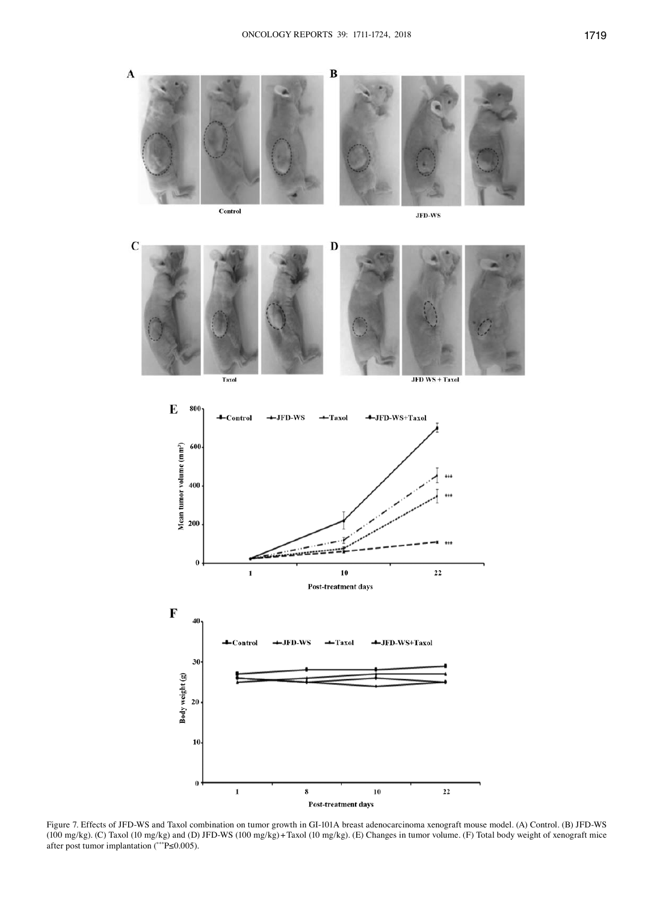

Control

 $10<sub>1</sub>$ 

 $\mathbf{0}$ 

 $\mathbf 1$ 

**JFD-WS** 





Figure 7. Effects of JFD-WS and Taxol combination on tumor growth in GI-101A breast adenocarcinoma xenograft mouse model. (A) Control. (B) JFD-WS (100 mg/kg). (C) Taxol (10 mg/kg) and (D) JFD-WS (100 mg/kg)+Taxol (10 mg/kg). (E) Changes in tumor volume. (F) Total body weight of xenograft mice after post tumor implantation ( \*\*\*P≤0.005).

Post-treatment days

 ${\bf 10}$ 

 $\bf{22}$ 

 $\bf 8$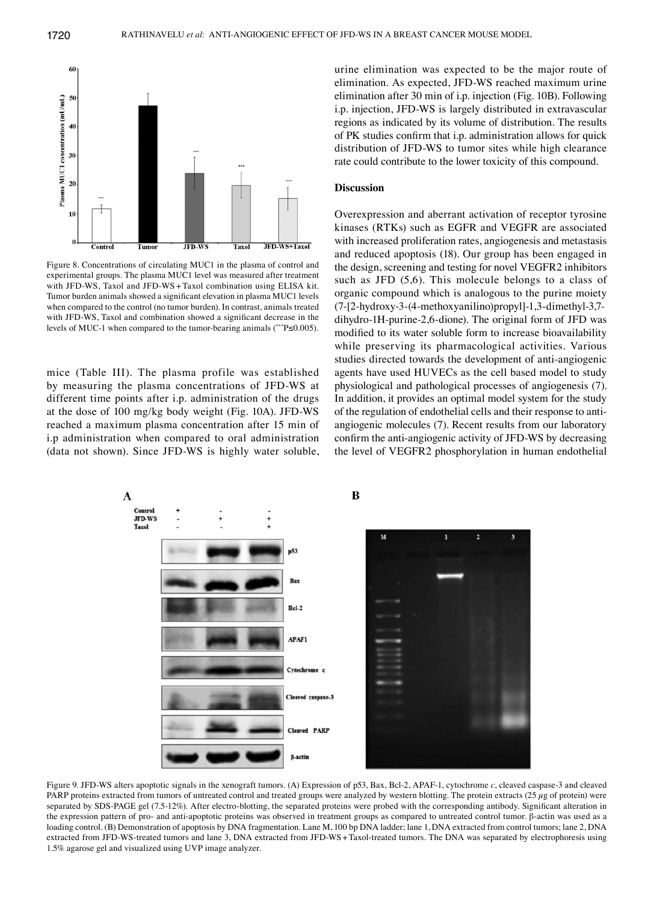

Figure 8. Concentrations of circulating MUC1 in the plasma of control and experimental groups. The plasma MUC1 level was measured after treatment with JFD-WS, Taxol and JFD-WS + Taxol combination using ELISA kit. Tumor burden animals showed a significant elevation in plasma MUC1 levels when compared to the control (no tumor burden). In contrast, animals treated with JFD-WS, Taxol and combination showed a significant decrease in the levels of MUC-1 when compared to the tumor-bearing animals (\*\*\*P≤0.005).

mice (Table III). The plasma profile was established by measuring the plasma concentrations of JFD-WS at different time points after i.p. administration of the drugs at the dose of 100 mg/kg body weight (Fig. 10A). JFD-WS reached a maximum plasma concentration after 15 min of i.p administration when compared to oral administration (data not shown). Since JFD-WS is highly water soluble, urine elimination was expected to be the major route of elimination. As expected, JFD-WS reached maximum urine elimination after 30 min of i.p. injection (Fig. 10B). Following i.p. injection, JFD-WS is largely distributed in extravascular regions as indicated by its volume of distribution. The results of PK studies confirm that i.p. administration allows for quick distribution of JFD-WS to tumor sites while high clearance rate could contribute to the lower toxicity of this compound.

#### **Discussion**

Overexpression and aberrant activation of receptor tyrosine kinases (RTKs) such as EGFR and VEGFR are associated with increased proliferation rates, angiogenesis and metastasis and reduced apoptosis (18). Our group has been engaged in the design, screening and testing for novel VEGFR2 inhibitors such as JFD (5,6). This molecule belongs to a class of organic compound which is analogous to the purine moiety (7-[2-hydroxy-3-(4-methoxyanilino)propyl]-1,3-dimethyl-3,7 dihydro-1H-purine-2,6-dione). The original form of JFD was modified to its water soluble form to increase bioavailability while preserving its pharmacological activities. Various studies directed towards the development of anti-angiogenic agents have used HUVECs as the cell based model to study physiological and pathological processes of angiogenesis (7). In addition, it provides an optimal model system for the study of the regulation of endothelial cells and their response to antiangiogenic molecules (7). Recent results from our laboratory confirm the anti-angiogenic activity of JFD-WS by decreasing the level of VEGFR2 phosphorylation in human endothelial



Figure 9. JFD-WS alters apoptotic signals in the xenograft tumors. (A) Expression of p53, Bax, Bcl-2, APAF-1, cytochrome *c*, cleaved caspase-3 and cleaved PARP proteins extracted from tumors of untreated control and treated groups were analyzed by western blotting. The protein extracts  $(25 \mu g)$  of protein) were separated by SDS-PAGE gel (7.5-12%). After electro-blotting, the separated proteins were probed with the corresponding antibody. Significant alteration in the expression pattern of pro- and anti-apoptotic proteins was observed in treatment groups as compared to untreated control tumor. β-actin was used as a loading control. (B) Demonstration of apoptosis by DNA fragmentation. Lane M, 100 bp DNA ladder; lane 1, DNA extracted from control tumors; lane 2, DNA extracted from JFD-WS-treated tumors and lane 3, DNA extracted from JFD-WS+Taxol-treated tumors. The DNA was separated by electrophoresis using 1.5% agarose gel and visualized using UVP image analyzer.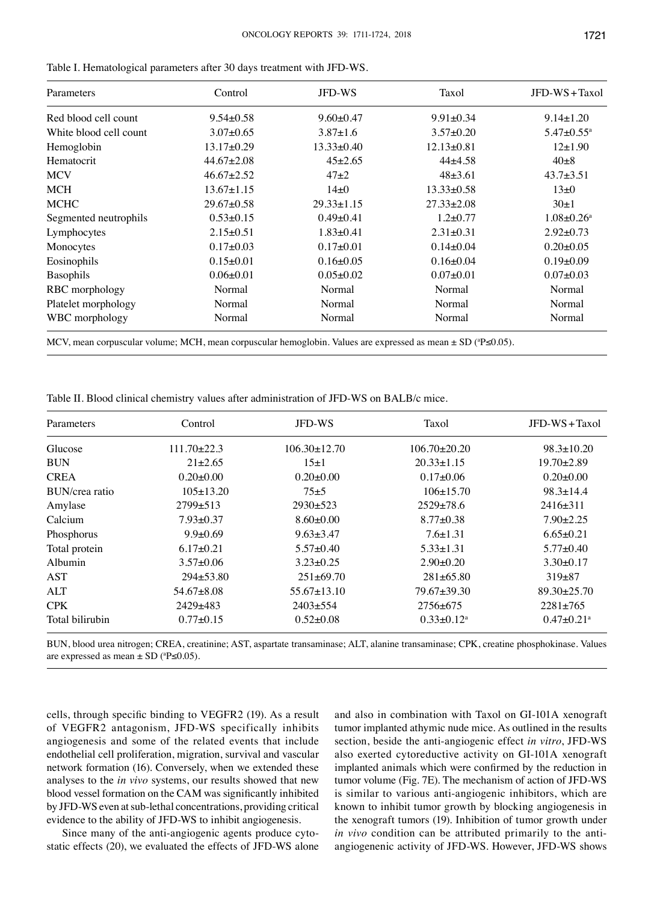| Parameters             | Control          | <b>JFD-WS</b>    | Taxol            | $JFD-WS+Taxol$               |
|------------------------|------------------|------------------|------------------|------------------------------|
| Red blood cell count   | $9.54 \pm 0.58$  | $9.60 \pm 0.47$  | $9.91 \pm 0.34$  | $9.14 \pm 1.20$              |
| White blood cell count | $3.07 \pm 0.65$  | $3.87 \pm 1.6$   | $3.57 \pm 0.20$  | $5.47 \pm 0.55$ <sup>a</sup> |
| Hemoglobin             | $13.17 \pm 0.29$ | $13.33 \pm 0.40$ | $12.13 \pm 0.81$ | $12\pm1.90$                  |
| Hematocrit             | $44.67 \pm 2.08$ | $45\pm2.65$      | $44\pm4.58$      | $40\pm8$                     |
| <b>MCV</b>             | $46.67 \pm 2.52$ | $47+2$           | $48\pm3.61$      | $43.7 \pm 3.51$              |
| <b>MCH</b>             | $13.67 \pm 1.15$ | $14+0$           | $13.33 \pm 0.58$ | $13\pm0$                     |
| MCHC                   | $29.67 \pm 0.58$ | $29.33 \pm 1.15$ | $27.33 \pm 2.08$ | $30\pm1$                     |
| Segmented neutrophils  | $0.53 \pm 0.15$  | $0.49 \pm 0.41$  | $1.2 \pm 0.77$   | $1.08 \pm 0.26$ <sup>a</sup> |
| Lymphocytes            | $2.15 \pm 0.51$  | $1.83 \pm 0.41$  | $2.31 \pm 0.31$  | $2.92 \pm 0.73$              |
| Monocytes              | $0.17 \pm 0.03$  | $0.17 \pm 0.01$  | $0.14 \pm 0.04$  | $0.20 \pm 0.05$              |
| Eosinophils            | $0.15 \pm 0.01$  | $0.16 \pm 0.05$  | $0.16 \pm 0.04$  | $0.19+0.09$                  |
| <b>Basophils</b>       | $0.06 \pm 0.01$  | $0.05 \pm 0.02$  | $0.07 + 0.01$    | $0.07+0.03$                  |
| RBC morphology         | Normal           | Normal           | Normal           | Normal                       |
| Platelet morphology    | Normal           | Normal           | Normal           | Normal                       |
| WBC morphology         | Normal           | Normal           | Normal           | Normal                       |

Table I. Hematological parameters after 30 days treatment with JFD-WS.

MCV, mean corpuscular volume; MCH, mean corpuscular hemoglobin. Values are expressed as mean  $\pm$  SD (°P≤0.05).

Table II. Blood clinical chemistry values after administration of JFD-WS on BALB/c mice.

| Parameters      | Control           | <b>JFD-WS</b>      | Taxol              | JFD-WS+Taxol                 |
|-----------------|-------------------|--------------------|--------------------|------------------------------|
| Glucose         | $111.70 \pm 22.3$ | $106.30 \pm 12.70$ | $106.70 \pm 20.20$ | $98.3 \pm 10.20$             |
| <b>BUN</b>      | $21 + 2.65$       | $15+1$             | $20.33 \pm 1.15$   | $19.70 \pm 2.89$             |
| <b>CREA</b>     | $0.20 \pm 0.00$   | $0.20 \pm 0.00$    | $0.17 \pm 0.06$    | $0.20 \pm 0.00$              |
| BUN/crea ratio  | $105 \pm 13.20$   | $75+5$             | $106\pm 15.70$     | $98.3 \pm 14.4$              |
| Amylase         | $2799\pm513$      | $2930+523$         | $2529 \pm 78.6$    | $2416\pm311$                 |
| Calcium         | $7.93 \pm 0.37$   | $8.60 \pm 0.00$    | $8.77 \pm 0.38$    | $7.90 \pm 2.25$              |
| Phosphorus      | $9.9 \pm 0.69$    | $9.63 \pm 3.47$    | $7.6 \pm 1.31$     | $6.65 \pm 0.21$              |
| Total protein   | $6.17 \pm 0.21$   | $5.57 \pm 0.40$    | $5.33 \pm 1.31$    | $5.77 \pm 0.40$              |
| Albumin         | $3.57 \pm 0.06$   | $3.23 \pm 0.25$    | $2.90 \pm 0.20$    | $3.30 \pm 0.17$              |
| AST             | $294 \pm 53.80$   | $251\pm 69.70$     | $281 \pm 65.80$    | $319+87$                     |
| <b>ALT</b>      | $54.67 \pm 8.08$  | $55.67 \pm 13.10$  | $79.67 \pm 39.30$  | $89.30 \pm 25.70$            |
| <b>CPK</b>      | $2429 \pm 483$    | $2403+554$         | 2756±675           | $2281 \pm 765$               |
| Total bilirubin | $0.77 + 0.15$     | $0.52 \pm 0.08$    | $0.33 \pm 0.12^a$  | $0.47 \pm 0.21$ <sup>a</sup> |

BUN, blood urea nitrogen; CREA, creatinine; AST, aspartate transaminase; ALT, alanine transaminase; CPK, creatine phosphokinase. Values are expressed as mean  $\pm$  SD ( $^{a}P \le 0.05$ ).

cells, through specific binding to VEGFR2 (19). As a result of VEGFR2 antagonism, JFD-WS specifically inhibits angiogenesis and some of the related events that include endothelial cell proliferation, migration, survival and vascular network formation (16). Conversely, when we extended these analyses to the *in vivo* systems, our results showed that new blood vessel formation on the CAM was significantly inhibited by JFD-WS even at sub-lethal concentrations, providing critical evidence to the ability of JFD-WS to inhibit angiogenesis.

Since many of the anti-angiogenic agents produce cytostatic effects (20), we evaluated the effects of JFD-WS alone and also in combination with Taxol on GI-101A xenograft tumor implanted athymic nude mice. As outlined in the results section, beside the anti-angiogenic effect *in vitro*, JFD-WS also exerted cytoreductive activity on GI-101A xenograft implanted animals which were confirmed by the reduction in tumor volume (Fig. 7E). The mechanism of action of JFD-WS is similar to various anti-angiogenic inhibitors, which are known to inhibit tumor growth by blocking angiogenesis in the xenograft tumors (19). Inhibition of tumor growth under *in vivo* condition can be attributed primarily to the antiangiogenenic activity of JFD-WS. However, JFD-WS shows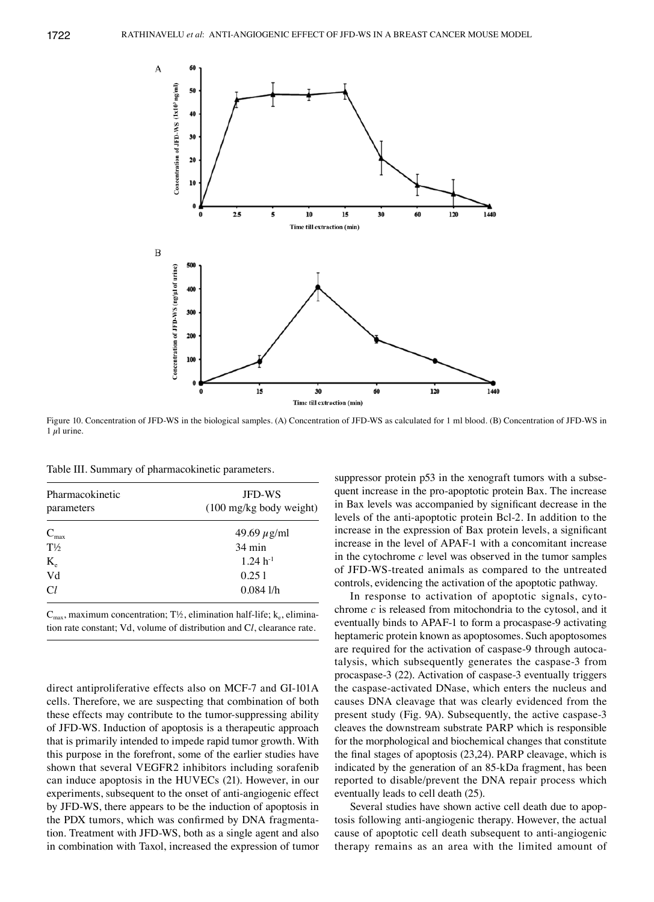

Figure 10. Concentration of JFD-WS in the biological samples. (A) Concentration of JFD-WS as calculated for 1 ml blood. (B) Concentration of JFD-WS in 1  $\mu$ l urine.

Table III. Summary of pharmacokinetic parameters.

| Pharmacokinetic<br>parameters | <b>JFD-WS</b><br>$(100 \text{ mg/kg}$ body weight) |  |  |
|-------------------------------|----------------------------------------------------|--|--|
| $C_{\text{max}}$              | 49.69 $\mu$ g/ml                                   |  |  |
| $T\frac{1}{2}$                | $34 \text{ min}$                                   |  |  |
| $K_{\rm e}$                   | $1.24 h^{-1}$                                      |  |  |
| Vd                            | 0.251                                              |  |  |
| Cl                            | 0.0841/h                                           |  |  |

 $C_{\text{max}}$ , maximum concentration; T½, elimination half-life; k<sub>e</sub>, elimination rate constant; Vd, volume of distribution and C*l*, clearance rate.

direct antiproliferative effects also on MCF-7 and GI-101A cells. Therefore, we are suspecting that combination of both these effects may contribute to the tumor-suppressing ability of JFD-WS. Induction of apoptosis is a therapeutic approach that is primarily intended to impede rapid tumor growth. With this purpose in the forefront, some of the earlier studies have shown that several VEGFR2 inhibitors including sorafenib can induce apoptosis in the HUVECs (21). However, in our experiments, subsequent to the onset of anti-angiogenic effect by JFD-WS, there appears to be the induction of apoptosis in the PDX tumors, which was confirmed by DNA fragmentation. Treatment with JFD-WS, both as a single agent and also in combination with Taxol, increased the expression of tumor suppressor protein p53 in the xenograft tumors with a subsequent increase in the pro-apoptotic protein Bax. The increase in Bax levels was accompanied by significant decrease in the levels of the anti-apoptotic protein Bcl-2. In addition to the increase in the expression of Bax protein levels, a significant increase in the level of APAF-1 with a concomitant increase in the cytochrome *c* level was observed in the tumor samples of JFD-WS-treated animals as compared to the untreated controls, evidencing the activation of the apoptotic pathway.

In response to activation of apoptotic signals, cytochrome *c* is released from mitochondria to the cytosol, and it eventually binds to APAF-1 to form a procaspase-9 activating heptameric protein known as apoptosomes. Such apoptosomes are required for the activation of caspase-9 through autocatalysis, which subsequently generates the caspase-3 from procaspase-3 (22). Activation of caspase-3 eventually triggers the caspase-activated DNase, which enters the nucleus and causes DNA cleavage that was clearly evidenced from the present study (Fig. 9A). Subsequently, the active caspase-3 cleaves the downstream substrate PARP which is responsible for the morphological and biochemical changes that constitute the final stages of apoptosis (23,24). PARP cleavage, which is indicated by the generation of an 85-kDa fragment, has been reported to disable/prevent the DNA repair process which eventually leads to cell death (25).

Several studies have shown active cell death due to apoptosis following anti-angiogenic therapy. However, the actual cause of apoptotic cell death subsequent to anti-angiogenic therapy remains as an area with the limited amount of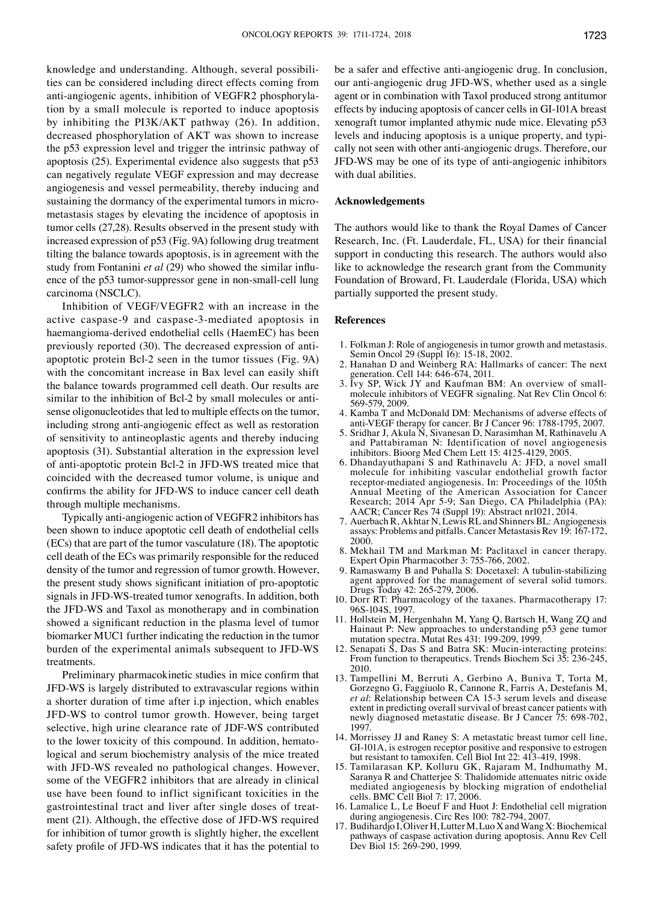knowledge and understanding. Although, several possibilities can be considered including direct effects coming from anti-angiogenic agents, inhibition of VEGFR2 phosphorylation by a small molecule is reported to induce apoptosis by inhibiting the PI3K/AKT pathway (26). In addition, decreased phosphorylation of AKT was shown to increase the p53 expression level and trigger the intrinsic pathway of apoptosis (25). Experimental evidence also suggests that p53 can negatively regulate VEGF expression and may decrease angiogenesis and vessel permeability, thereby inducing and sustaining the dormancy of the experimental tumors in micrometastasis stages by elevating the incidence of apoptosis in tumor cells (27,28). Results observed in the present study with increased expression of p53 (Fig. 9A) following drug treatment tilting the balance towards apoptosis, is in agreement with the study from Fontanini *et al* (29) who showed the similar influence of the p53 tumor-suppressor gene in non-small-cell lung carcinoma (NSCLC).

Inhibition of VEGF/VEGFR2 with an increase in the active caspase-9 and caspase-3-mediated apoptosis in haemangioma-derived endothelial cells (HaemEC) has been previously reported (30). The decreased expression of antiapoptotic protein Bcl-2 seen in the tumor tissues (Fig. 9A) with the concomitant increase in Bax level can easily shift the balance towards programmed cell death. Our results are similar to the inhibition of Bcl-2 by small molecules or antisense oligonucleotides that led to multiple effects on the tumor, including strong anti-angiogenic effect as well as restoration of sensitivity to antineoplastic agents and thereby inducing apoptosis (31). Substantial alteration in the expression level of anti-apoptotic protein Bcl-2 in JFD-WS treated mice that coincided with the decreased tumor volume, is unique and confirms the ability for JFD-WS to induce cancer cell death through multiple mechanisms.

Typically anti-angiogenic action of VEGFR2 inhibitors has been shown to induce apoptotic cell death of endothelial cells (ECs) that are part of the tumor vasculature (18). The apoptotic cell death of the ECs was primarily responsible for the reduced density of the tumor and regression of tumor growth. However, the present study shows significant initiation of pro-apoptotic signals in JFD-WS-treated tumor xenografts. In addition, both the JFD-WS and Taxol as monotherapy and in combination showed a significant reduction in the plasma level of tumor biomarker MUC1 further indicating the reduction in the tumor burden of the experimental animals subsequent to JFD-WS treatments.

Preliminary pharmacokinetic studies in mice confirm that JFD-WS is largely distributed to extravascular regions within a shorter duration of time after i.p injection, which enables JFD-WS to control tumor growth. However, being target selective, high urine clearance rate of JDF-WS contributed to the lower toxicity of this compound. In addition, hematological and serum biochemistry analysis of the mice treated with JFD-WS revealed no pathological changes. However, some of the VEGFR2 inhibitors that are already in clinical use have been found to inflict significant toxicities in the gastrointestinal tract and liver after single doses of treatment (21). Although, the effective dose of JFD-WS required for inhibition of tumor growth is slightly higher, the excellent safety profile of JFD-WS indicates that it has the potential to be a safer and effective anti-angiogenic drug. In conclusion, our anti-angiogenic drug JFD-WS, whether used as a single agent or in combination with Taxol produced strong antitumor effects by inducing apoptosis of cancer cells in GI-101A breast xenograft tumor implanted athymic nude mice. Elevating p53 levels and inducing apoptosis is a unique property, and typically not seen with other anti-angiogenic drugs. Therefore, our JFD-WS may be one of its type of anti-angiogenic inhibitors with dual abilities.

## **Acknowledgements**

The authors would like to thank the Royal Dames of Cancer Research, Inc. (Ft. Lauderdale, FL, USA) for their financial support in conducting this research. The authors would also like to acknowledge the research grant from the Community Foundation of Broward, Ft. Lauderdale (Florida, USA) which partially supported the present study.

#### **References**

- 1. Folkman J: Role of angiogenesis in tumor growth and metastasis. Semin Oncol 29 (Suppl 16): 15-18, 2002.
- 2. Hanahan D and Weinberg RA: Hallmarks of cancer: The next generation. Cell 144: 646-674, 2011.
- 3. Ivy SP, Wick JY and Kaufman BM: An overview of smallmolecule inhibitors of VEGFR signaling. Nat Rev Clin Oncol 6: 569-579, 2009.
- 4. Kamba T and McDonald DM: Mechanisms of adverse effects of anti-VEGF therapy for cancer. Br J Cancer 96: 1788-1795, 2007.
- 5. Sridhar J, Akula N, Sivanesan D, Narasimhan M, Rathinavelu A and Pattabiraman N: Identification of novel angiogenesis inhibitors. Bioorg Med Chem Lett 15: 4125-4129, 2005.
- 6. Dhandayuthapani S and Rathinavelu A: JFD, a novel small molecule for inhibiting vascular endothelial growth factor receptor-mediated angiogenesis. In: Proceedings of the 105th Annual Meeting of the American Association for Cancer Research; 2014 Apr 5-9; San Diego, CA Philadelphia (PA): AACR; Cancer Res 74 (Suppl 19): Abstract nr1021, 2014.
- 7. Auerbach R, Akhtar N, Lewis RL and Shinners BL: Angiogenesis assays: Problems and pitfalls. Cancer Metastasis Rev 19: 167-172, 2000.
- 8. Mekhail TM and Markman M: Paclitaxel in cancer therapy. Expert Opin Pharmacother 3: 755-766, 2002.
- 9. Ramaswamy B and Puhalla S: Docetaxel: A tubulin-stabilizing agent approved for the management of several solid tumors. Drugs Today 42: 265-279, 2006.
- 10. Dorr RT: Pharmacology of the taxanes. Pharmacotherapy 17: 96S-104S, 1997.
- 11. Hollstein M, Hergenhahn M, Yang Q, Bartsch H, Wang ZQ and Hainaut P: New approaches to understanding p53 gene tumor mutation spectra. Mutat Res 431: 199-209, 1999.
- 12. Senapati  $\hat{S}$ , Das S and Batra SK: Mucin-interacting proteins: From function to therapeutics. Trends Biochem Sci 35: 236-245, 2010.
- 13. Tampellini M, Berruti A, Gerbino A, Buniva T, Torta M, Gorzegno G, Faggiuolo R, Cannone R, Farris A, Destefanis M, *et al*: Relationship between CA 15-3 serum levels and disease extent in predicting overall survival of breast cancer patients with newly diagnosed metastatic disease. Br J Cancer 75: 698-702, 1997.
- 14. Morrissey JJ and Raney S: A metastatic breast tumor cell line, GI-101A, is estrogen receptor positive and responsive to estrogen but resistant to tamoxifen. Cell Biol Int 22: 413-419, 1998.
- 15. Tamilarasan KP, Kolluru GK, Rajaram M, Indhumathy M, Saranya R and Chatterjee S: Thalidomide attenuates nitric oxide mediated angiogenesis by blocking migration of endothelial cells. BMC Cell Biol 7: 17, 2006.
- 16. Lamalice L, Le Boeuf F and Huot J: Endothelial cell migration during angiogenesis. Circ Res 100: 782-794, 2007.
- 17. Budihardjo I, Oliver H, Lutter M, Luo X and Wang X: Biochemical pathways of caspase activation during apoptosis. Annu Rev Cell Dev Biol 15: 269-290, 1999.